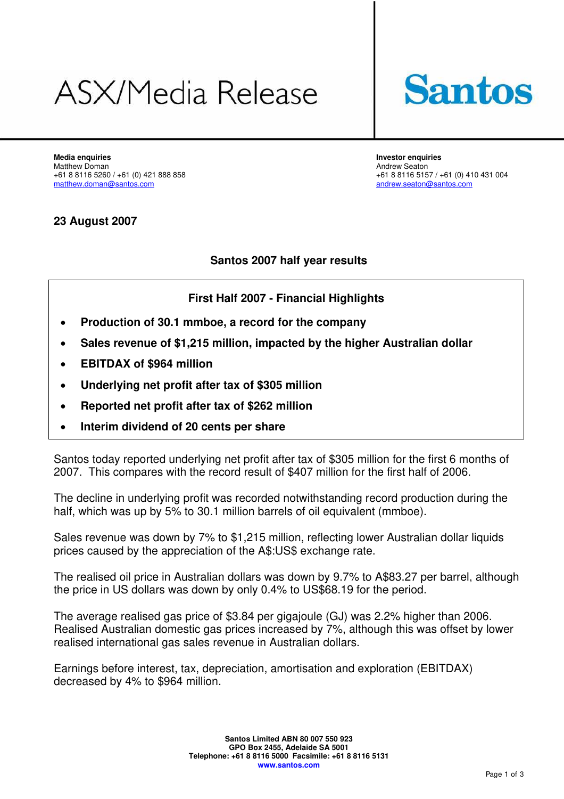# ASX/Media Release



**Media enquiries Investor enquiries**  Matthew Doman Andrew Seaton 1991 120 Andrew Seaton 1991 120 Andrew Seaton 1991 120 Andrew Seaton 199<br>
461 8 8116 5260 / +61 (0) 421 888 858

+61 8 8116 5260 / +61 (0) 421 888 858<br>
matthew.doman@santos.com<br>
matthew.doman@santos.com [andrew.seaton@santos.com](mailto:andrew.seaton@santos.com)

## **23 August 2007**

# **Santos 2007 half year results**

# **First Half 2007 - Financial Highlights**

- **Production of 30.1 mmboe, a record for the company**
- **Sales revenue of \$1,215 million, impacted by the higher Australian dollar**
- **EBITDAX of \$964 million**
- **Underlying net profit after tax of \$305 million**
- **Reported net profit after tax of \$262 million**
- **Interim dividend of 20 cents per share**

Santos today reported underlying net profit after tax of \$305 million for the first 6 months of 2007. This compares with the record result of \$407 million for the first half of 2006.

The decline in underlying profit was recorded notwithstanding record production during the half, which was up by 5% to 30.1 million barrels of oil equivalent (mmboe).

Sales revenue was down by 7% to \$1,215 million, reflecting lower Australian dollar liquids prices caused by the appreciation of the A\$:US\$ exchange rate.

The realised oil price in Australian dollars was down by 9.7% to A\$83.27 per barrel, although the price in US dollars was down by only 0.4% to US\$68.19 for the period.

The average realised gas price of \$3.84 per gigajoule (GJ) was 2.2% higher than 2006. Realised Australian domestic gas prices increased by 7%, although this was offset by lower realised international gas sales revenue in Australian dollars.

Earnings before interest, tax, depreciation, amortisation and exploration (EBITDAX) decreased by 4% to \$964 million.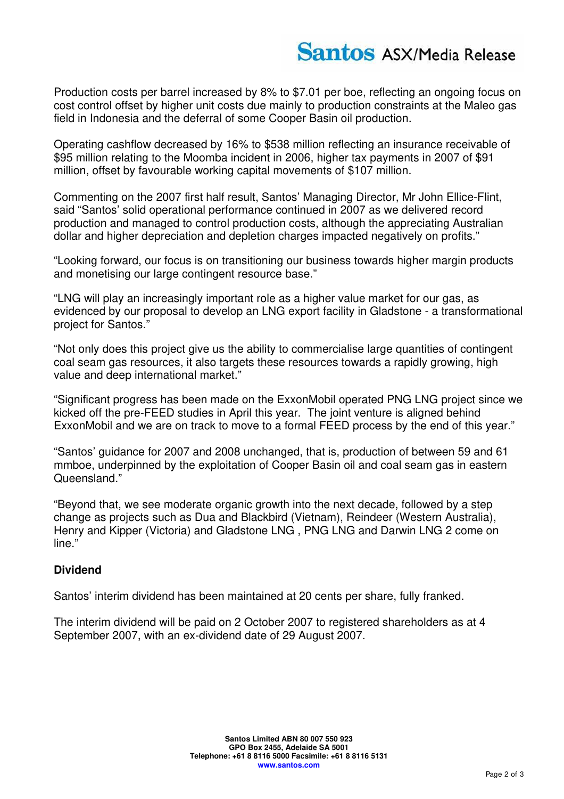Production costs per barrel increased by 8% to \$7.01 per boe, reflecting an ongoing focus on cost control offset by higher unit costs due mainly to production constraints at the Maleo gas field in Indonesia and the deferral of some Cooper Basin oil production.

Operating cashflow decreased by 16% to \$538 million reflecting an insurance receivable of \$95 million relating to the Moomba incident in 2006, higher tax payments in 2007 of \$91 million, offset by favourable working capital movements of \$107 million.

Commenting on the 2007 first half result, Santos' Managing Director, Mr John Ellice-Flint, said "Santos' solid operational performance continued in 2007 as we delivered record production and managed to control production costs, although the appreciating Australian dollar and higher depreciation and depletion charges impacted negatively on profits."

"Looking forward, our focus is on transitioning our business towards higher margin products and monetising our large contingent resource base."

"LNG will play an increasingly important role as a higher value market for our gas, as evidenced by our proposal to develop an LNG export facility in Gladstone - a transformational project for Santos."

"Not only does this project give us the ability to commercialise large quantities of contingent coal seam gas resources, it also targets these resources towards a rapidly growing, high value and deep international market."

"Significant progress has been made on the ExxonMobil operated PNG LNG project since we kicked off the pre-FEED studies in April this year. The joint venture is aligned behind ExxonMobil and we are on track to move to a formal FEED process by the end of this year."

"Santos' guidance for 2007 and 2008 unchanged, that is, production of between 59 and 61 mmboe, underpinned by the exploitation of Cooper Basin oil and coal seam gas in eastern Queensland."

"Beyond that, we see moderate organic growth into the next decade, followed by a step change as projects such as Dua and Blackbird (Vietnam), Reindeer (Western Australia), Henry and Kipper (Victoria) and Gladstone LNG , PNG LNG and Darwin LNG 2 come on line."

## **Dividend**

Santos' interim dividend has been maintained at 20 cents per share, fully franked.

The interim dividend will be paid on 2 October 2007 to registered shareholders as at 4 September 2007, with an ex-dividend date of 29 August 2007.